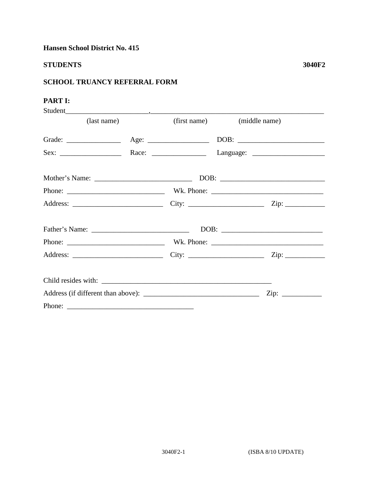Hansen School District No. 415

## **STUDENTS**

## **PART I:**

| Student     |  |  |                             |  |
|-------------|--|--|-----------------------------|--|
| (last name) |  |  | (first name) (middle name)  |  |
|             |  |  |                             |  |
|             |  |  |                             |  |
|             |  |  |                             |  |
|             |  |  |                             |  |
|             |  |  | $\overline{\mathrm{Zip:}}$  |  |
|             |  |  |                             |  |
|             |  |  |                             |  |
|             |  |  |                             |  |
|             |  |  |                             |  |
|             |  |  | $\overline{\mathrm{Zip: }}$ |  |
|             |  |  |                             |  |